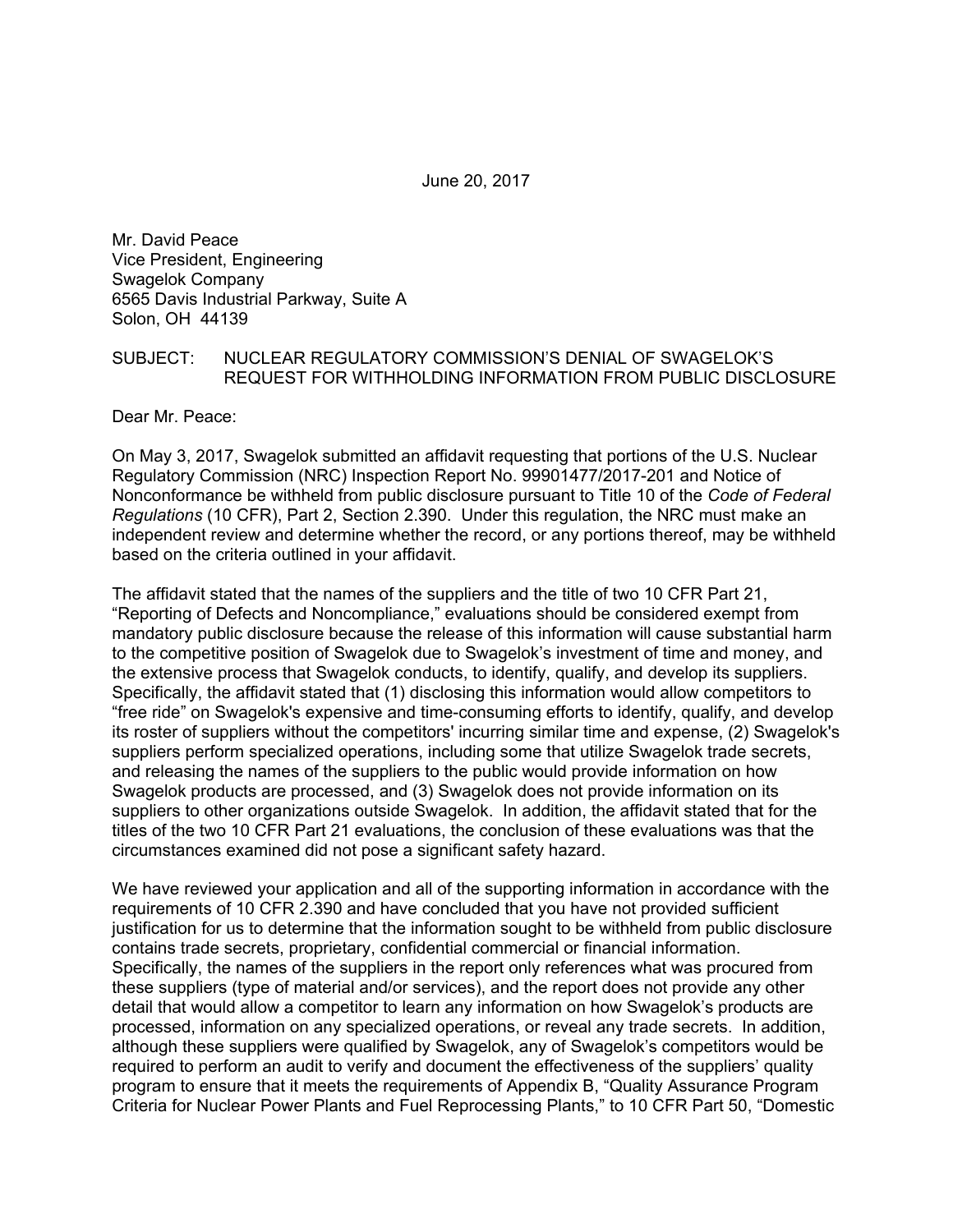June 20, 2017

Mr. David Peace Vice President, Engineering Swagelok Company 6565 Davis Industrial Parkway, Suite A Solon, OH 44139

## SUBJECT: NUCLEAR REGULATORY COMMISSION'S DENIAL OF SWAGELOK'S REQUEST FOR WITHHOLDING INFORMATION FROM PUBLIC DISCLOSURE

Dear Mr. Peace:

On May 3, 2017, Swagelok submitted an affidavit requesting that portions of the U.S. Nuclear Regulatory Commission (NRC) Inspection Report No. 99901477/2017-201 and Notice of Nonconformance be withheld from public disclosure pursuant to Title 10 of the *Code of Federal Regulations* (10 CFR), Part 2, Section 2.390. Under this regulation, the NRC must make an independent review and determine whether the record, or any portions thereof, may be withheld based on the criteria outlined in your affidavit.

The affidavit stated that the names of the suppliers and the title of two 10 CFR Part 21, "Reporting of Defects and Noncompliance," evaluations should be considered exempt from mandatory public disclosure because the release of this information will cause substantial harm to the competitive position of Swagelok due to Swagelok's investment of time and money, and the extensive process that Swagelok conducts, to identify, qualify, and develop its suppliers. Specifically, the affidavit stated that (1) disclosing this information would allow competitors to "free ride" on Swagelok's expensive and time-consuming efforts to identify, qualify, and develop its roster of suppliers without the competitors' incurring similar time and expense, (2) Swagelok's suppliers perform specialized operations, including some that utilize Swagelok trade secrets, and releasing the names of the suppliers to the public would provide information on how Swagelok products are processed, and (3) Swagelok does not provide information on its suppliers to other organizations outside Swagelok. In addition, the affidavit stated that for the titles of the two 10 CFR Part 21 evaluations, the conclusion of these evaluations was that the circumstances examined did not pose a significant safety hazard.

We have reviewed your application and all of the supporting information in accordance with the requirements of 10 CFR 2.390 and have concluded that you have not provided sufficient justification for us to determine that the information sought to be withheld from public disclosure contains trade secrets, proprietary, confidential commercial or financial information. Specifically, the names of the suppliers in the report only references what was procured from these suppliers (type of material and/or services), and the report does not provide any other detail that would allow a competitor to learn any information on how Swagelok's products are processed, information on any specialized operations, or reveal any trade secrets. In addition, although these suppliers were qualified by Swagelok, any of Swagelok's competitors would be required to perform an audit to verify and document the effectiveness of the suppliers' quality program to ensure that it meets the requirements of Appendix B, "Quality Assurance Program Criteria for Nuclear Power Plants and Fuel Reprocessing Plants," to 10 CFR Part 50, "Domestic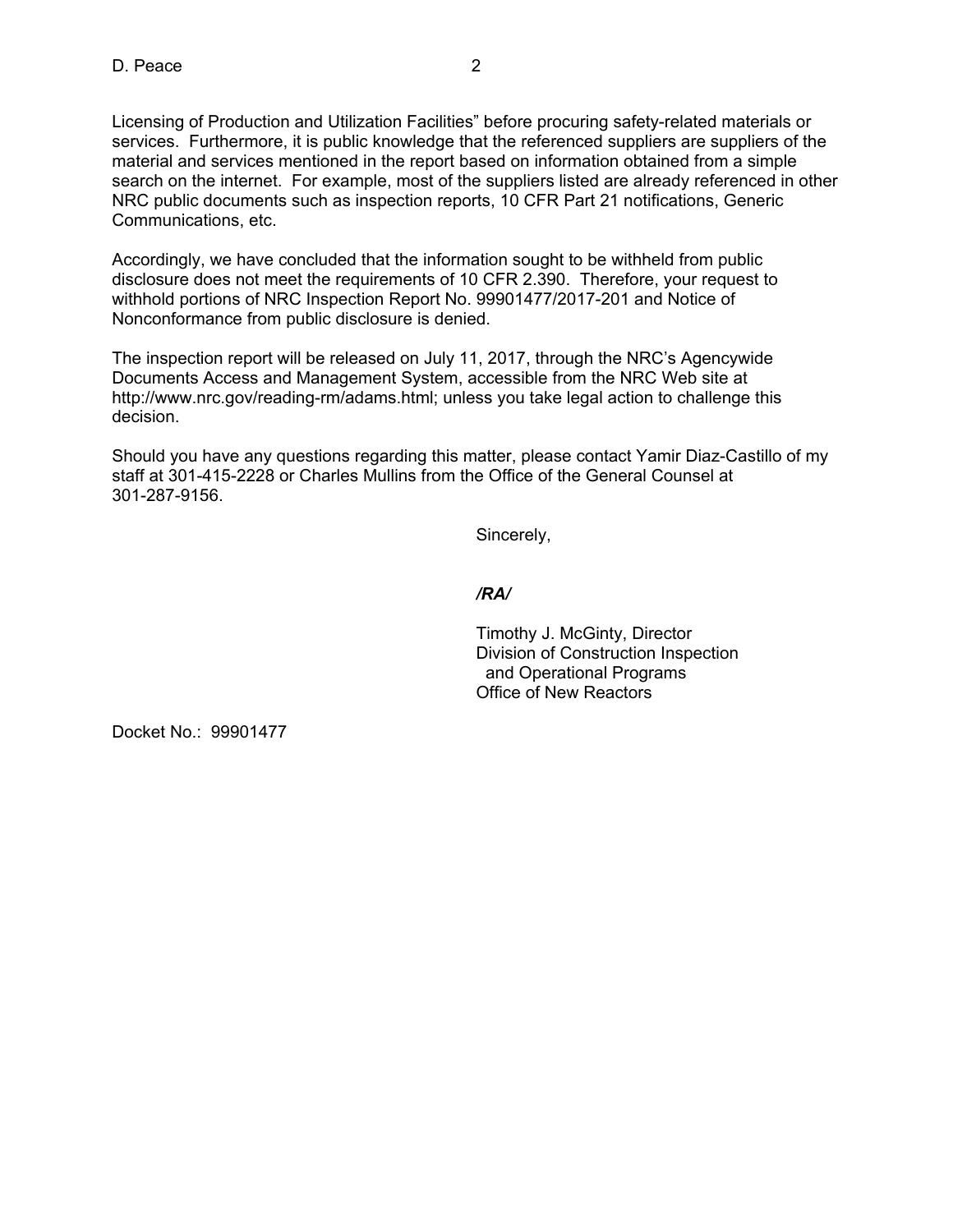Licensing of Production and Utilization Facilities" before procuring safety-related materials or services. Furthermore, it is public knowledge that the referenced suppliers are suppliers of the material and services mentioned in the report based on information obtained from a simple search on the internet. For example, most of the suppliers listed are already referenced in other NRC public documents such as inspection reports, 10 CFR Part 21 notifications, Generic Communications, etc.

Accordingly, we have concluded that the information sought to be withheld from public disclosure does not meet the requirements of 10 CFR 2.390. Therefore, your request to withhold portions of NRC Inspection Report No. 99901477/2017-201 and Notice of Nonconformance from public disclosure is denied.

The inspection report will be released on July 11, 2017, through the NRC's Agencywide Documents Access and Management System, accessible from the NRC Web site at http://www.nrc.gov/reading-rm/adams.html; unless you take legal action to challenge this decision.

Should you have any questions regarding this matter, please contact Yamir Diaz-Castillo of my staff at 301-415-2228 or Charles Mullins from the Office of the General Counsel at 301-287-9156.

Sincerely,

*/RA/* 

Timothy J. McGinty, Director Division of Construction Inspection and Operational Programs Office of New Reactors

Docket No.: 99901477